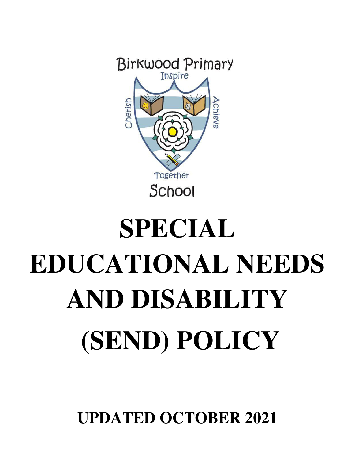

# **SPECIAL EDUCATIONAL NEEDS AND DISABILITY (SEND) POLICY**

**UPDATED OCTOBER 2021**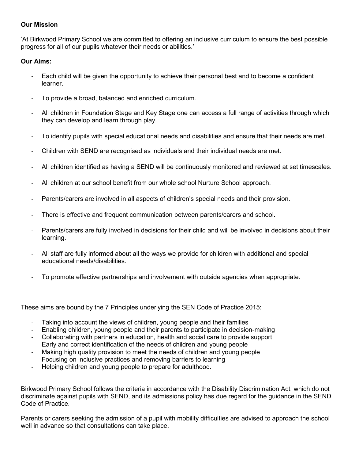#### **Our Mission**

'At Birkwood Primary School we are committed to offering an inclusive curriculum to ensure the best possible progress for all of our pupils whatever their needs or abilities.'

#### **Our Aims:**

- Each child will be given the opportunity to achieve their personal best and to become a confident learner.
- To provide a broad, balanced and enriched curriculum.
- All children in Foundation Stage and Key Stage one can access a full range of activities through which they can develop and learn through play.
- To identify pupils with special educational needs and disabilities and ensure that their needs are met.
- Children with SEND are recognised as individuals and their individual needs are met.
- All children identified as having a SEND will be continuously monitored and reviewed at set timescales.
- All children at our school benefit from our whole school Nurture School approach.
- Parents/carers are involved in all aspects of children's special needs and their provision.
- There is effective and frequent communication between parents/carers and school.
- Parents/carers are fully involved in decisions for their child and will be involved in decisions about their learning.
- All staff are fully informed about all the ways we provide for children with additional and special educational needs/disabilities.
- To promote effective partnerships and involvement with outside agencies when appropriate.

These aims are bound by the 7 Principles underlying the SEN Code of Practice 2015:

- Taking into account the views of children, young people and their families
- Enabling children, young people and their parents to participate in decision-making
- Collaborating with partners in education, health and social care to provide support
- Early and correct identification of the needs of children and young people
- Making high quality provision to meet the needs of children and young people
- Focusing on inclusive practices and removing barriers to learning
- Helping children and young people to prepare for adulthood.

Birkwood Primary School follows the criteria in accordance with the Disability Discrimination Act, which do not discriminate against pupils with SEND, and its admissions policy has due regard for the guidance in the SEND Code of Practice.

Parents or carers seeking the admission of a pupil with mobility difficulties are advised to approach the school well in advance so that consultations can take place.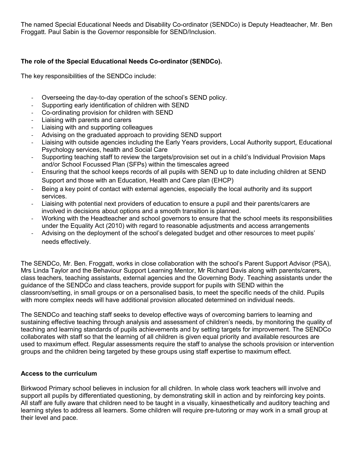The named Special Educational Needs and Disability Co-ordinator (SENDCo) is Deputy Headteacher, Mr. Ben Froggatt. Paul Sabin is the Governor responsible for SEND/Inclusion.

## **The role of the Special Educational Needs Co-ordinator (SENDCo).**

The key responsibilities of the SENDCo include:

- Overseeing the day-to-day operation of the school's SEND policy.
- Supporting early identification of children with SEND
- Co-ordinating provision for children with SEND
- Liaising with parents and carers
- Liaising with and supporting colleagues
- Advising on the graduated approach to providing SEND support
- Liaising with outside agencies including the Early Years providers, Local Authority support, Educational Psychology services, health and Social Care
- Supporting teaching staff to review the targets/provision set out in a child's Individual Provision Maps and/or School Focussed Plan (SFPs) within the timescales agreed
- Ensuring that the school keeps records of all pupils with SEND up to date including children at SEND Support and those with an Education, Health and Care plan (EHCP)
- Being a key point of contact with external agencies, especially the local authority and its support services.
- Liaising with potential next providers of education to ensure a pupil and their parents/carers are involved in decisions about options and a smooth transition is planned.
- Working with the Headteacher and school governors to ensure that the school meets its responsibilities under the Equality Act (2010) with regard to reasonable adjustments and access arrangements
- Advising on the deployment of the school's delegated budget and other resources to meet pupils' needs effectively.

The SENDCo, Mr. Ben. Froggatt, works in close collaboration with the school's Parent Support Advisor (PSA), Mrs Linda Taylor and the Behaviour Support Learning Mentor, Mr Richard Davis along with parents/carers, class teachers, teaching assistants, external agencies and the Governing Body. Teaching assistants under the guidance of the SENDCo and class teachers, provide support for pupils with SEND within the classroom/setting, in small groups or on a personalised basis, to meet the specific needs of the child. Pupils with more complex needs will have additional provision allocated determined on individual needs.

The SENDCo and teaching staff seeks to develop effective ways of overcoming barriers to learning and sustaining effective teaching through analysis and assessment of children's needs, by monitoring the quality of teaching and learning standards of pupils achievements and by setting targets for improvement. The SENDCo collaborates with staff so that the learning of all children is given equal priority and available resources are used to maximum effect. Regular assessments require the staff to analyse the schools provision or intervention groups and the children being targeted by these groups using staff expertise to maximum effect.

#### **Access to the curriculum**

Birkwood Primary school believes in inclusion for all children. In whole class work teachers will involve and support all pupils by differentiated questioning, by demonstrating skill in action and by reinforcing key points. All staff are fully aware that children need to be taught in a visually, kinaesthetically and auditory teaching and learning styles to address all learners. Some children will require pre-tutoring or may work in a small group at their level and pace.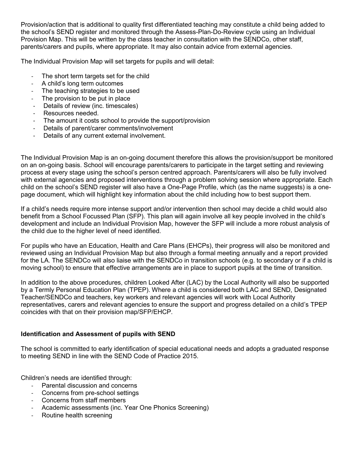Provision/action that is additional to quality first differentiated teaching may constitute a child being added to the school's SEND register and monitored through the Assess-Plan-Do-Review cycle using an Individual Provision Map. This will be written by the class teacher in consultation with the SENDCo, other staff, parents/carers and pupils, where appropriate. It may also contain advice from external agencies.

The Individual Provision Map will set targets for pupils and will detail:

- The short term targets set for the child
- A child's long term outcomes
- The teaching strategies to be used
- The provision to be put in place
- Details of review (inc. timescales)
- Resources needed.
- The amount it costs school to provide the support/provision
- Details of parent/carer comments/involvement
- Details of any current external involvement.

The Individual Provision Map is an on-going document therefore this allows the provision/support be monitored on an on-going basis. School will encourage parents/carers to participate in the target setting and reviewing process at every stage using the school's person centred approach. Parents/carers will also be fully involved with external agencies and proposed interventions through a problem solving session where appropriate. Each child on the school's SEND register will also have a One-Page Profile, which (as the name suggests) is a onepage document, which will highlight key information about the child including how to best support them.

If a child's needs require more intense support and/or intervention then school may decide a child would also benefit from a School Focussed Plan (SFP). This plan will again involve all key people involved in the child's development and include an Individual Provision Map, however the SFP will include a more robust analysis of the child due to the higher level of need identified.

For pupils who have an Education, Health and Care Plans (EHCPs), their progress will also be monitored and reviewed using an Individual Provision Map but also through a formal meeting annually and a report provided for the LA. The SENDCo will also liaise with the SENDCo in transition schools (e.g. to secondary or if a child is moving school) to ensure that effective arrangements are in place to support pupils at the time of transition.

In addition to the above procedures, children Looked After (LAC) by the Local Authority will also be supported by a Termly Personal Education Plan (TPEP). Where a child is considered both LAC and SEND, Designated Teacher/SENDCo and teachers, key workers and relevant agencies will work with Local Authority representatives, carers and relevant agencies to ensure the support and progress detailed on a child's TPEP coincides with that on their provision map/SFP/EHCP.

## **Identification and Assessment of pupils with SEND**

The school is committed to early identification of special educational needs and adopts a graduated response to meeting SEND in line with the SEND Code of Practice 2015.

Children's needs are identified through:

- Parental discussion and concerns
- Concerns from pre-school settings
- Concerns from staff members
- Academic assessments (inc. Year One Phonics Screening)
- Routine health screening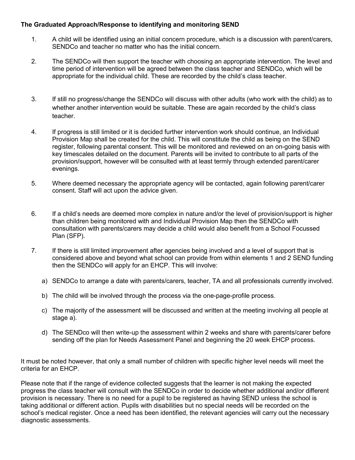## **The Graduated Approach/Response to identifying and monitoring SEND**

- 1. A child will be identified using an initial concern procedure, which is a discussion with parent/carers, SENDCo and teacher no matter who has the initial concern.
- 2. The SENDCo will then support the teacher with choosing an appropriate intervention. The level and time period of intervention will be agreed between the class teacher and SENDCo, which will be appropriate for the individual child. These are recorded by the child's class teacher.
- 3. If still no progress/change the SENDCo will discuss with other adults (who work with the child) as to whether another intervention would be suitable. These are again recorded by the child's class teacher.
- 4. If progress is still limited or it is decided further intervention work should continue, an Individual Provision Map shall be created for the child. This will constitute the child as being on the SEND register, following parental consent. This will be monitored and reviewed on an on-going basis with key timescales detailed on the document. Parents will be invited to contribute to all parts of the provision/support, however will be consulted with at least termly through extended parent/carer evenings.
- 5. Where deemed necessary the appropriate agency will be contacted, again following parent/carer consent. Staff will act upon the advice given.
- 6. If a child's needs are deemed more complex in nature and/or the level of provision/support is higher than children being monitored with and Individual Provision Map then the SENDCo with consultation with parents/carers may decide a child would also benefit from a School Focussed Plan (SFP).
- 7. If there is still limited improvement after agencies being involved and a level of support that is considered above and beyond what school can provide from within elements 1 and 2 SEND funding then the SENDCo will apply for an EHCP. This will involve:
	- a) SENDCo to arrange a date with parents/carers, teacher, TA and all professionals currently involved.
	- b) The child will be involved through the process via the one-page-profile process.
	- c) The majority of the assessment will be discussed and written at the meeting involving all people at stage a).
	- d) The SENDco will then write-up the assessment within 2 weeks and share with parents/carer before sending off the plan for Needs Assessment Panel and beginning the 20 week EHCP process.

It must be noted however, that only a small number of children with specific higher level needs will meet the criteria for an EHCP.

Please note that if the range of evidence collected suggests that the learner is not making the expected progress the class teacher will consult with the SENDCo in order to decide whether additional and/or different provision is necessary. There is no need for a pupil to be registered as having SEND unless the school is taking additional or different action. Pupils with disabilities but no special needs will be recorded on the school's medical register. Once a need has been identified, the relevant agencies will carry out the necessary diagnostic assessments.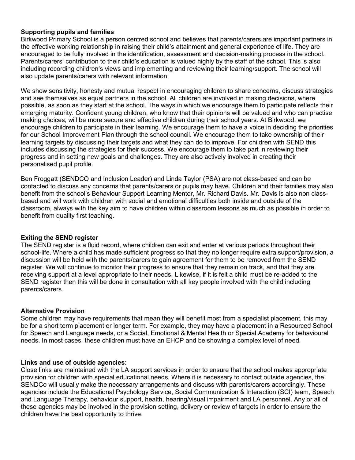#### **Supporting pupils and families**

Birkwood Primary School is a person centred school and believes that parents/carers are important partners in the effective working relationship in raising their child's attainment and general experience of life. They are encouraged to be fully involved in the identification, assessment and decision-making process in the school. Parents/carers' contribution to their child's education is valued highly by the staff of the school. This is also including recording children's views and implementing and reviewing their learning/support. The school will also update parents/carers with relevant information.

We show sensitivity, honesty and mutual respect in encouraging children to share concerns, discuss strategies and see themselves as equal partners in the school. All children are involved in making decisions, where possible, as soon as they start at the school. The ways in which we encourage them to participate reflects their emerging maturity. Confident young children, who know that their opinions will be valued and who can practise making choices, will be more secure and effective children during their school years. At Birkwood, we encourage children to participate in their learning. We encourage them to have a voice in deciding the priorities for our School Improvement Plan through the school council. We encourage them to take ownership of their learning targets by discussing their targets and what they can do to improve. For children with SEND this includes discussing the strategies for their success. We encourage them to take part in reviewing their progress and in setting new goals and challenges. They are also actively involved in creating their personalised pupil profile.

Ben Froggatt (SENDCO and Inclusion Leader) and Linda Taylor (PSA) are not class-based and can be contacted to discuss any concerns that parents/carers or pupils may have. Children and their families may also benefit from the school's Behaviour Support Learning Mentor, Mr. Richard Davis. Mr. Davis is also non classbased and will work with children with social and emotional difficulties both inside and outside of the classroom, always with the key aim to have children within classroom lessons as much as possible in order to benefit from quality first teaching.

#### **Exiting the SEND register**

The SEND register is a fluid record, where children can exit and enter at various periods throughout their school-life. Where a child has made sufficient progress so that they no longer require extra support/provision, a discussion will be held with the parents/carers to gain agreement for them to be removed from the SEND register. We will continue to monitor their progress to ensure that they remain on track, and that they are receiving support at a level appropriate to their needs. Likewise, if it is felt a child must be re-added to the SEND register then this will be done in consultation with all key people involved with the child including parents/carers.

#### **Alternative Provision**

Some children may have requirements that mean they will benefit most from a specialist placement, this may be for a short term placement or longer term. For example, they may have a placement in a Resourced School for Speech and Language needs, or a Social, Emotional & Mental Health or Special Academy for behavioural needs. In most cases, these children must have an EHCP and be showing a complex level of need.

#### **Links and use of outside agencies:**

Close links are maintained with the LA support services in order to ensure that the school makes appropriate provision for children with special educational needs. Where it is necessary to contact outside agencies, the SENDCo will usually make the necessary arrangements and discuss with parents/carers accordingly. These agencies include the Educational Psychology Service, Social Communication & Interaction (SCI) team, Speech and Language Therapy, behaviour support, health, hearing/visual impairment and LA personnel. Any or all of these agencies may be involved in the provision setting, delivery or review of targets in order to ensure the children have the best opportunity to thrive.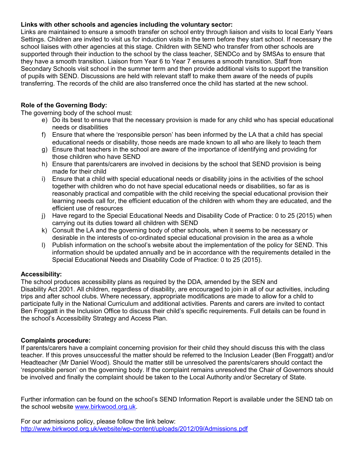#### **Links with other schools and agencies including the voluntary sector:**

Links are maintained to ensure a smooth transfer on school entry through liaison and visits to local Early Years Settings. Children are invited to visit us for induction visits in the term before they start school. If necessary the school liaises with other agencies at this stage. Children with SEND who transfer from other schools are supported through their induction to the school by the class teacher, SENDCo and by SMSAs to ensure that they have a smooth transition. Liaison from Year 6 to Year 7 ensures a smooth transition. Staff from Secondary Schools visit school in the summer term and then provide additional visits to support the transition of pupils with SEND. Discussions are held with relevant staff to make them aware of the needs of pupils transferring. The records of the child are also transferred once the child has started at the new school.

## **Role of the Governing Body:**

The governing body of the school must:

- e) Do its best to ensure that the necessary provision is made for any child who has special educational needs or disabilities
- f) Ensure that where the 'responsible person' has been informed by the LA that a child has special educational needs or disability, those needs are made known to all who are likely to teach them
- g) Ensure that teachers in the school are aware of the importance of identifying and providing for those children who have SEND
- h) Ensure that parents/carers are involved in decisions by the school that SEND provision is being made for their child
- i) Ensure that a child with special educational needs or disability joins in the activities of the school together with children who do not have special educational needs or disabilities, so far as is reasonably practical and compatible with the child receiving the special educational provision their learning needs call for, the efficient education of the children with whom they are educated, and the efficient use of resources
- j) Have regard to the Special Educational Needs and Disability Code of Practice: 0 to 25 (2015) when carrying out its duties toward all children with SEND
- k) Consult the LA and the governing body of other schools, when it seems to be necessary or desirable in the interests of co-ordinated special educational provision in the area as a whole
- l) Publish information on the school's website about the implementation of the policy for SEND. This information should be updated annually and be in accordance with the requirements detailed in the Special Educational Needs and Disability Code of Practice: 0 to 25 (2015).

## **Accessibility:**

The school produces accessibility plans as required by the DDA, amended by the SEN and Disability Act 2001. All children, regardless of disability, are encouraged to join in all of our activities, including trips and after school clubs. Where necessary, appropriate modifications are made to allow for a child to participate fully in the National Curriculum and additional activities. Parents and carers are invited to contact Ben Froggatt in the Inclusion Office to discuss their child's specific requirements. Full details can be found in the school's Accessibility Strategy and Access Plan.

#### **Complaints procedure:**

If parents/carers have a complaint concerning provision for their child they should discuss this with the class teacher. If this proves unsuccessful the matter should be referred to the Inclusion Leader (Ben Froggatt) and/or Headteacher (Mr Daniel Wood). Should the matter still be unresolved the parents/carers should contact the 'responsible person' on the governing body. If the complaint remains unresolved the Chair of Governors should be involved and finally the complaint should be taken to the Local Authority and/or Secretary of State.

Further information can be found on the school's SEND Information Report is available under the SEND tab on the school website [www.birkwood.org.uk.](http://www.birkwood.org.uk/)

For our admissions policy, please follow the link below: <http://www.birkwood.org.uk/website/wp-content/uploads/2012/09/Admissions.pdf>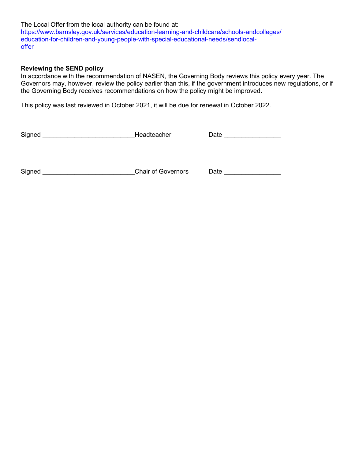The Local Offer from the local authority can be found at: https://www.barnsley.gov.uk/services/education-learning-and-childcare/schools-andcolleges/ education-for-children-and-young-people-with-special-educational-needs/sendlocaloffer

#### **Reviewing the SEND policy**

In accordance with the recommendation of NASEN, the Governing Body reviews this policy every year. The Governors may, however, review the policy earlier than this, if the government introduces new regulations, or if the Governing Body receives recommendations on how the policy might be improved.

This policy was last reviewed in October 2021, it will be due for renewal in October 2022.

| Signed | Headteacher |
|--------|-------------|
|        |             |

Signed \_\_\_\_\_\_\_\_\_\_\_\_\_\_\_\_\_\_\_\_\_\_\_\_\_\_Headteacher Date \_\_\_\_\_\_\_\_\_\_\_\_\_\_\_\_

Signed \_\_\_\_\_\_\_\_\_\_\_\_\_\_\_\_\_\_\_\_\_\_\_\_\_\_\_\_\_\_\_Chair of Governors Date \_\_\_\_\_\_\_\_\_\_\_\_\_\_\_\_\_\_